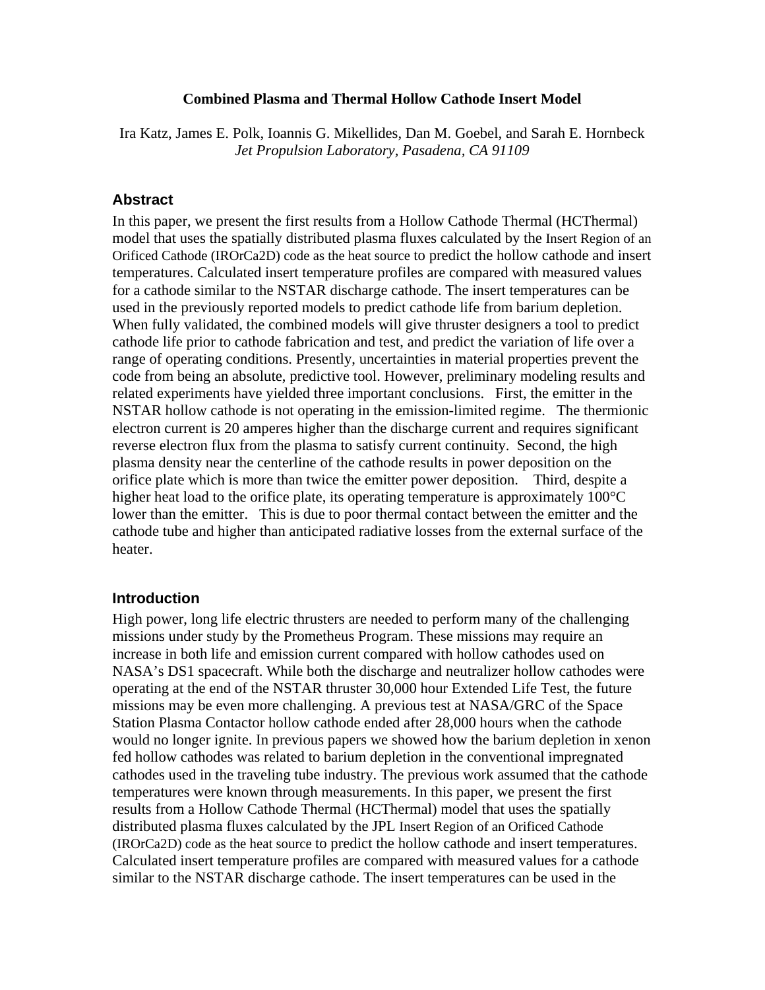### **Combined Plasma and Thermal Hollow Cathode Insert Model**

Ira Katz, James E. Polk, Ioannis G. Mikellides, Dan M. Goebel, and Sarah E. Hornbeck *Jet Propulsion Laboratory, Pasadena, CA 91109* 

## **Abstract**

In this paper, we present the first results from a Hollow Cathode Thermal (HCThermal) model that uses the spatially distributed plasma fluxes calculated by the Insert Region of an Orificed Cathode (IROrCa2D) code as the heat source to predict the hollow cathode and insert temperatures. Calculated insert temperature profiles are compared with measured values for a cathode similar to the NSTAR discharge cathode. The insert temperatures can be used in the previously reported models to predict cathode life from barium depletion. When fully validated, the combined models will give thruster designers a tool to predict cathode life prior to cathode fabrication and test, and predict the variation of life over a range of operating conditions. Presently, uncertainties in material properties prevent the code from being an absolute, predictive tool. However, preliminary modeling results and related experiments have yielded three important conclusions. First, the emitter in the NSTAR hollow cathode is not operating in the emission-limited regime. The thermionic electron current is 20 amperes higher than the discharge current and requires significant reverse electron flux from the plasma to satisfy current continuity. Second, the high plasma density near the centerline of the cathode results in power deposition on the orifice plate which is more than twice the emitter power deposition. Third, despite a higher heat load to the orifice plate, its operating temperature is approximately 100<sup>o</sup>C lower than the emitter. This is due to poor thermal contact between the emitter and the cathode tube and higher than anticipated radiative losses from the external surface of the heater.

### **Introduction**

High power, long life electric thrusters are needed to perform many of the challenging missions under study by the Prometheus Program. These missions may require an increase in both life and emission current compared with hollow cathodes used on NASA's DS1 spacecraft. While both the discharge and neutralizer hollow cathodes were operating at the end of the NSTAR thruster 30,000 hour Extended Life Test, the future missions may be even more challenging. A previous test at NASA/GRC of the Space Station Plasma Contactor hollow cathode ended after 28,000 hours when the cathode would no longer ignite. In previous papers we showed how the barium depletion in xenon fed hollow cathodes was related to barium depletion in the conventional impregnated cathodes used in the traveling tube industry. The previous work assumed that the cathode temperatures were known through measurements. In this paper, we present the first results from a Hollow Cathode Thermal (HCThermal) model that uses the spatially distributed plasma fluxes calculated by the JPL Insert Region of an Orificed Cathode (IROrCa2D) code as the heat source to predict the hollow cathode and insert temperatures. Calculated insert temperature profiles are compared with measured values for a cathode similar to the NSTAR discharge cathode. The insert temperatures can be used in the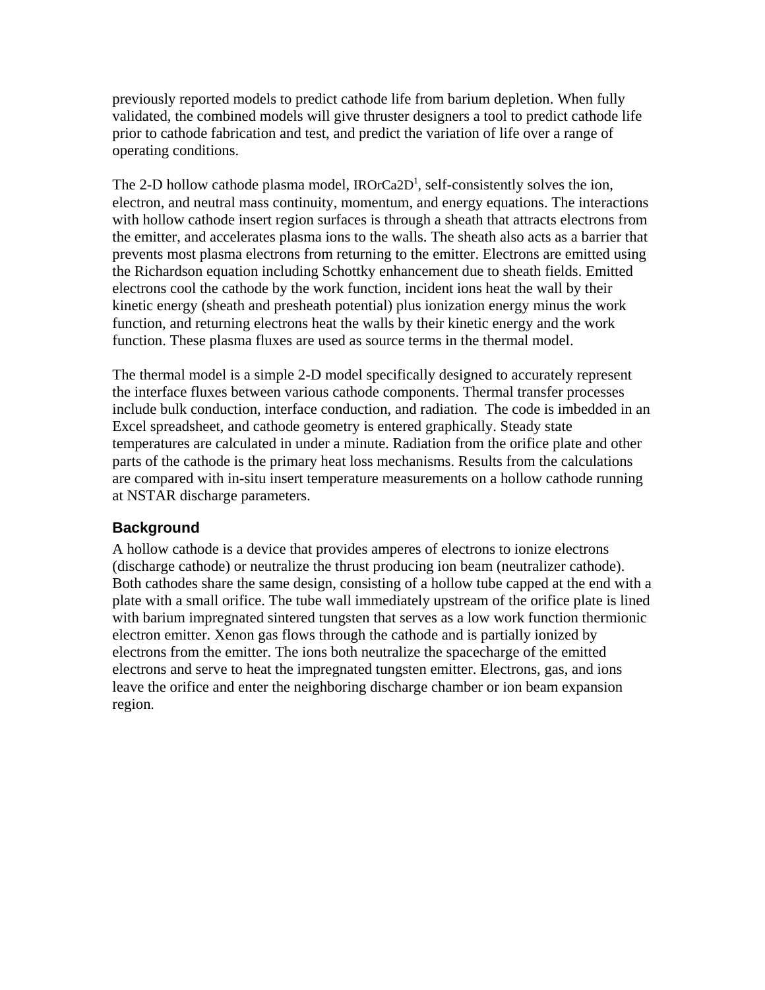previously reported models to predict cathode life from barium depletion. When fully validated, the combined models will give thruster designers a tool to predict cathode life prior to cathode fabrication and test, and predict the variation of life over a range of operating conditions.

The 2-D hollow cathode plasma model,  $IROrCa2D<sup>1</sup>$ , self-consistently solves the ion, electron, and neutral mass continuity, momentum, and energy equations. The interactions with hollow cathode insert region surfaces is through a sheath that attracts electrons from the emitter, and accelerates plasma ions to the walls. The sheath also acts as a barrier that prevents most plasma electrons from returning to the emitter. Electrons are emitted using the Richardson equation including Schottky enhancement due to sheath fields. Emitted electrons cool the cathode by the work function, incident ions heat the wall by their kinetic energy (sheath and presheath potential) plus ionization energy minus the work function, and returning electrons heat the walls by their kinetic energy and the work function. These plasma fluxes are used as source terms in the thermal model.

The thermal model is a simple 2-D model specifically designed to accurately represent the interface fluxes between various cathode components. Thermal transfer processes include bulk conduction, interface conduction, and radiation. The code is imbedded in an Excel spreadsheet, and cathode geometry is entered graphically. Steady state temperatures are calculated in under a minute. Radiation from the orifice plate and other parts of the cathode is the primary heat loss mechanisms. Results from the calculations are compared with in-situ insert temperature measurements on a hollow cathode running at NSTAR discharge parameters.

# **Background**

A hollow cathode is a device that provides amperes of electrons to ionize electrons (discharge cathode) or neutralize the thrust producing ion beam (neutralizer cathode). Both cathodes share the same design, consisting of a hollow tube capped at the end with a plate with a small orifice. The tube wall immediately upstream of the orifice plate is lined with barium impregnated sintered tungsten that serves as a low work function thermionic electron emitter. Xenon gas flows through the cathode and is partially ionized by electrons from the emitter. The ions both neutralize the spacecharge of the emitted electrons and serve to heat the impregnated tungsten emitter. Electrons, gas, and ions leave the orifice and enter the neighboring discharge chamber or ion beam expansion region.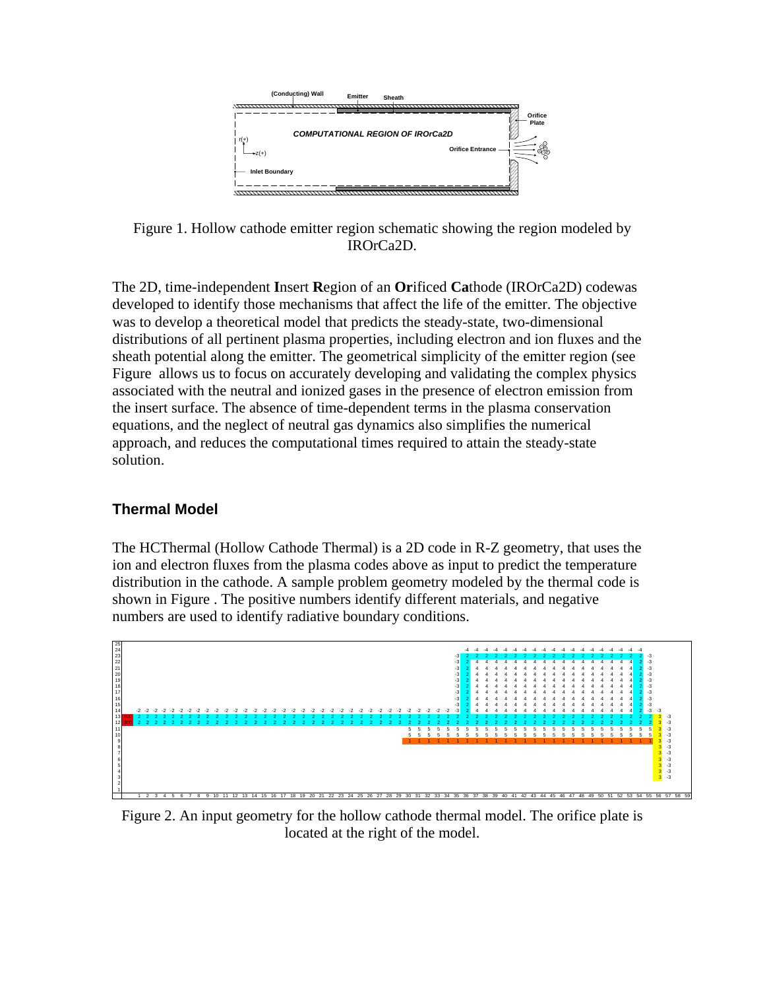

<span id="page-2-0"></span>Figure 1. Hollow cathode emitter region schematic showing the region modeled by IROrCa2D.

The 2D, time-independent **I**nsert **R**egion of an **Or**ificed **Ca**thode (IROrCa2D) codewas developed to identify those mechanisms that affect the life of the emitter. The objective was to develop a theoretical model that predicts the steady-state, two-dimensional distributions of all pertinent plasma properties, including electron and ion fluxes and the sheath potential along the emitter. The geometrical simplicity of the emitter region (see [Figure](#page-2-0) allows us to focus on accurately developing and validating the complex physics associated with the neutral and ionized gases in the presence of electron emission from the insert surface. The absence of time-dependent terms in the plasma conservation equations, and the neglect of neutral gas dynamics also simplifies the numerical approach, and reduces the computational times required to attain the steady-state solution.

# **Thermal Model**

The HCThermal (Hollow Cathode Thermal) is a 2D code in R-Z geometry, that uses the ion and electron fluxes from the plasma codes above as input to predict the temperature distribution in the cathode. A sample problem geometry modeled by the thermal code is shown in [Figure .](#page-2-1) The positive numbers identify different materials, and negative numbers are used to identify radiative boundary conditions.



<span id="page-2-1"></span>Figure 2. An input geometry for the hollow cathode thermal model. The orifice plate is located at the right of the model.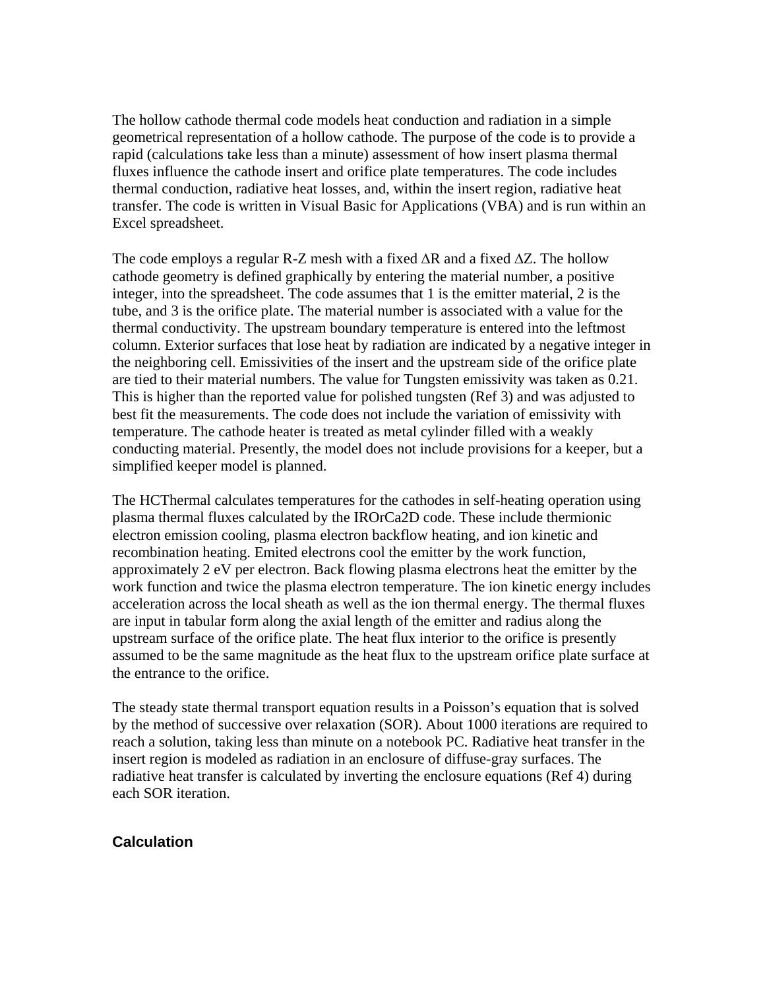The hollow cathode thermal code models heat conduction and radiation in a simple geometrical representation of a hollow cathode. The purpose of the code is to provide a rapid (calculations take less than a minute) assessment of how insert plasma thermal fluxes influence the cathode insert and orifice plate temperatures. The code includes thermal conduction, radiative heat losses, and, within the insert region, radiative heat transfer. The code is written in Visual Basic for Applications (VBA) and is run within an Excel spreadsheet.

The code employs a regular R-Z mesh with a fixed  $\Delta R$  and a fixed  $\Delta Z$ . The hollow cathode geometry is defined graphically by entering the material number, a positive integer, into the spreadsheet. The code assumes that 1 is the emitter material, 2 is the tube, and 3 is the orifice plate. The material number is associated with a value for the thermal conductivity. The upstream boundary temperature is entered into the leftmost column. Exterior surfaces that lose heat by radiation are indicated by a negative integer in the neighboring cell. Emissivities of the insert and the upstream side of the orifice plate are tied to their material numbers. The value for Tungsten emissivity was taken as 0.21. This is higher than the reported value for polished tungsten (Ref 3) and was adjusted to best fit the measurements. The code does not include the variation of emissivity with temperature. The cathode heater is treated as metal cylinder filled with a weakly conducting material. Presently, the model does not include provisions for a keeper, but a simplified keeper model is planned.

The HCThermal calculates temperatures for the cathodes in self-heating operation using plasma thermal fluxes calculated by the IROrCa2D code. These include thermionic electron emission cooling, plasma electron backflow heating, and ion kinetic and recombination heating. Emited electrons cool the emitter by the work function, approximately 2 eV per electron. Back flowing plasma electrons heat the emitter by the work function and twice the plasma electron temperature. The ion kinetic energy includes acceleration across the local sheath as well as the ion thermal energy. The thermal fluxes are input in tabular form along the axial length of the emitter and radius along the upstream surface of the orifice plate. The heat flux interior to the orifice is presently assumed to be the same magnitude as the heat flux to the upstream orifice plate surface at the entrance to the orifice.

The steady state thermal transport equation results in a Poisson's equation that is solved by the method of successive over relaxation (SOR). About 1000 iterations are required to reach a solution, taking less than minute on a notebook PC. Radiative heat transfer in the insert region is modeled as radiation in an enclosure of diffuse-gray surfaces. The radiative heat transfer is calculated by inverting the enclosure equations (Ref 4) during each SOR iteration.

# **Calculation**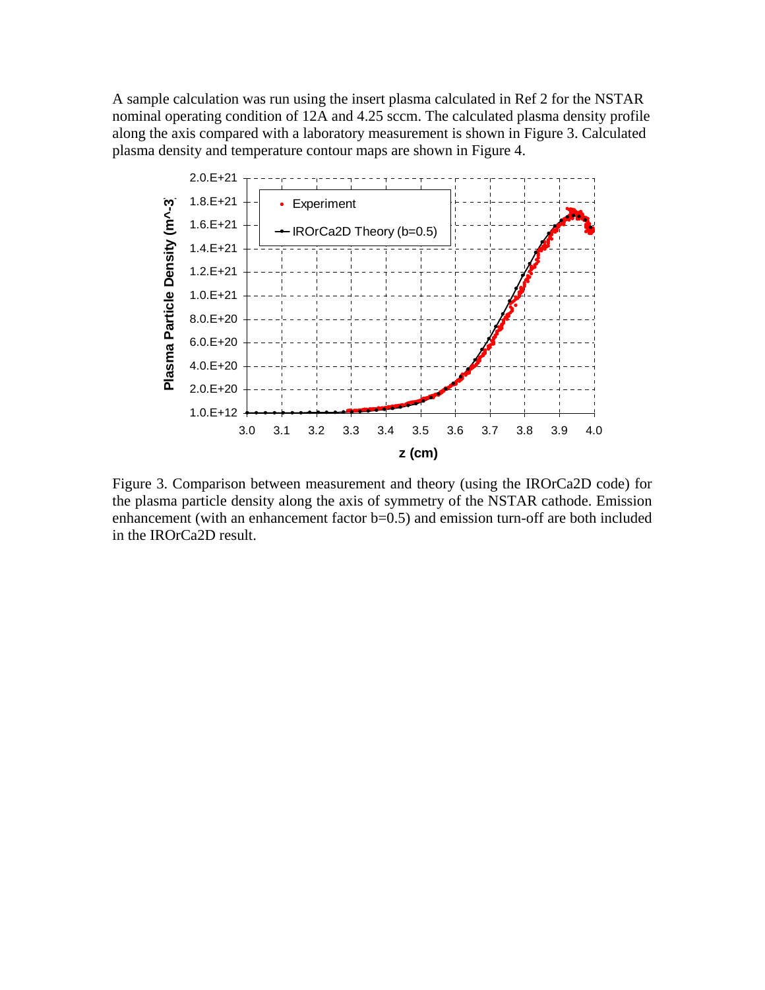A sample calculation was run using the insert plasma calculated in Ref 2 for the NSTAR nominal operating condition of 12A and 4.25 sccm. The calculated plasma density profile along the axis compared with a laboratory measurement is shown in Figure 3. Calculated plasma density and temperature contour maps are shown in Figure 4.



Figure 3. Comparison between measurement and theory (using the IROrCa2D code) for the plasma particle density along the axis of symmetry of the NSTAR cathode. Emission enhancement (with an enhancement factor b=0.5) and emission turn-off are both included in the IROrCa2D result.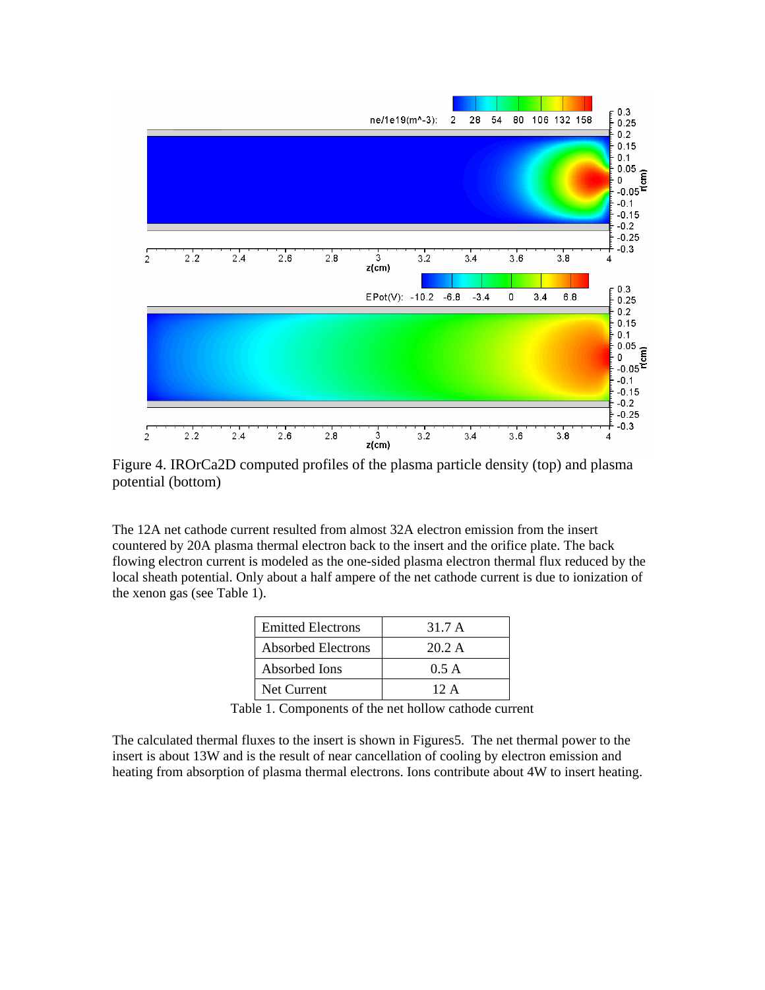

Figure 4. IROrCa2D computed profiles of the plasma particle density (top) and plasma potential (bottom)

The 12A net cathode current resulted from almost 32A electron emission from the insert countered by 20A plasma thermal electron back to the insert and the orifice plate. The back flowing electron current is modeled as the one-sided plasma electron thermal flux reduced by the local sheath potential. Only about a half ampere of the net cathode current is due to ionization of the xenon gas (see Table 1).

| <b>Emitted Electrons</b> | 31.7 A         |
|--------------------------|----------------|
| Absorbed Electrons       | 20.2 A         |
| Absorbed Ions            | 0.5 A          |
| Net Current              | $12 \text{ A}$ |

Table 1. Components of the net hollow cathode current

The calculated thermal fluxes to the insert is shown in Figures5. The net thermal power to the insert is about 13W and is the result of near cancellation of cooling by electron emission and heating from absorption of plasma thermal electrons. Ions contribute about 4W to insert heating.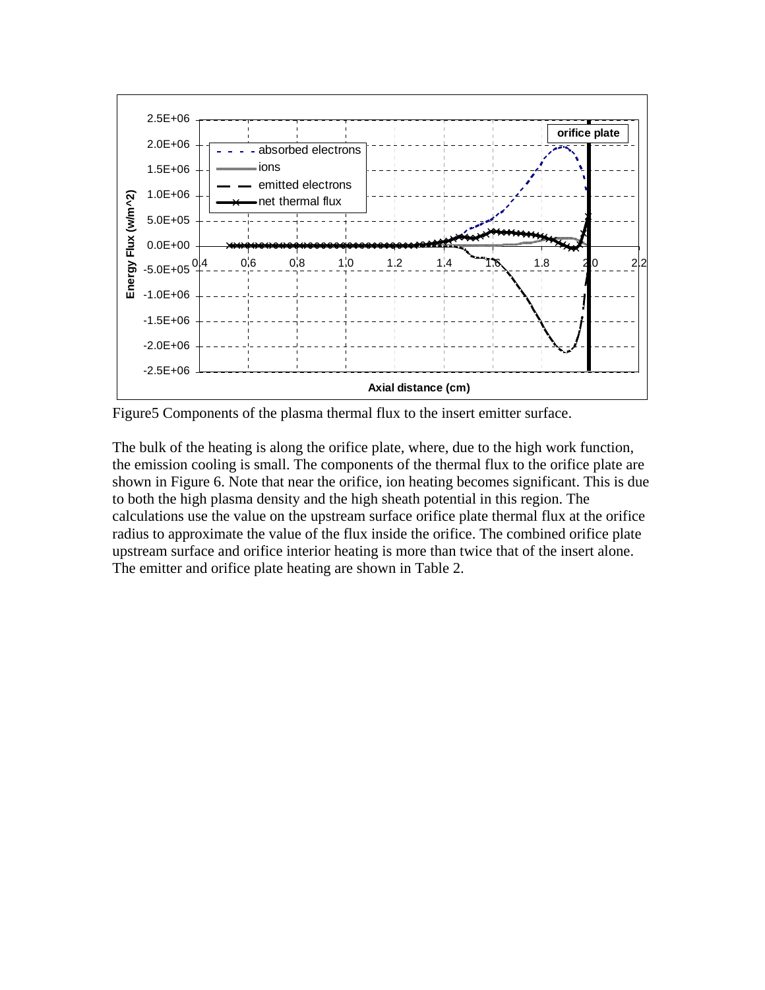

Figure5 Components of the plasma thermal flux to the insert emitter surface.

The bulk of the heating is along the orifice plate, where, due to the high work function, the emission cooling is small. The components of the thermal flux to the orifice plate are shown in Figure 6. Note that near the orifice, ion heating becomes significant. This is due to both the high plasma density and the high sheath potential in this region. The calculations use the value on the upstream surface orifice plate thermal flux at the orifice radius to approximate the value of the flux inside the orifice. The combined orifice plate upstream surface and orifice interior heating is more than twice that of the insert alone. The emitter and orifice plate heating are shown in Table 2.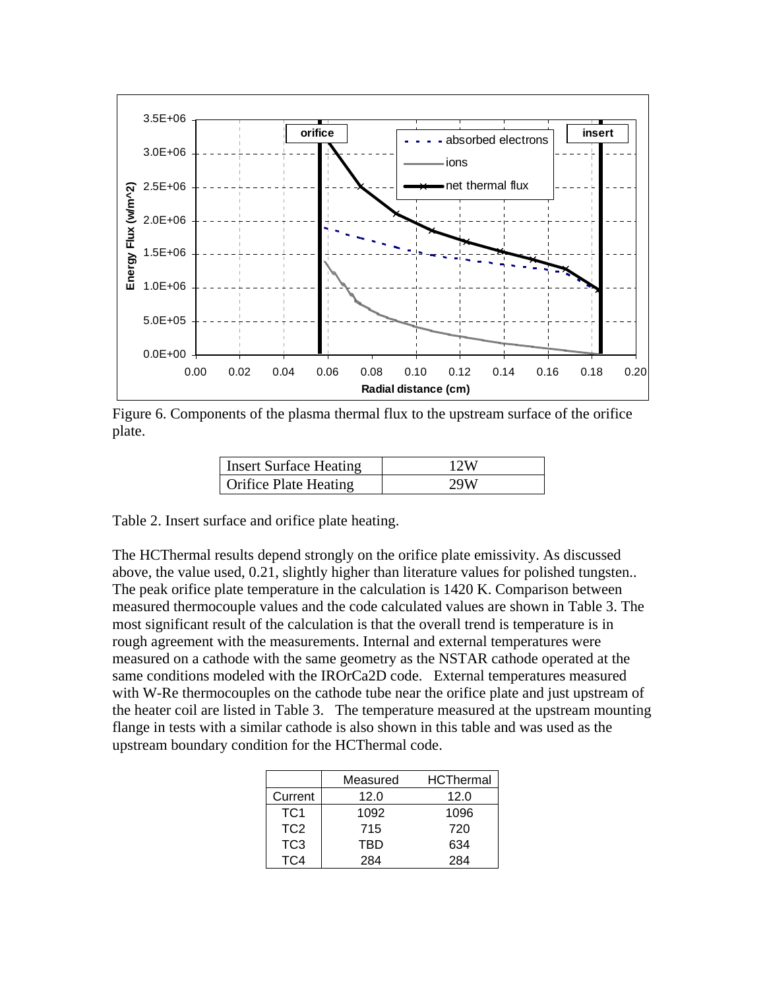

Figure 6. Components of the plasma thermal flux to the upstream surface of the orifice plate.

| <b>Insert Surface Heating</b> | 12W |
|-------------------------------|-----|
| <b>Orifice Plate Heating</b>  | 29W |

Table 2. Insert surface and orifice plate heating.

The HCThermal results depend strongly on the orifice plate emissivity. As discussed above, the value used, 0.21, slightly higher than literature values for polished tungsten.. The peak orifice plate temperature in the calculation is 1420 K. Comparison between measured thermocouple values and the code calculated values are shown in Table 3. The most significant result of the calculation is that the overall trend is temperature is in rough agreement with the measurements. Internal and external temperatures were measured on a cathode with the same geometry as the NSTAR cathode operated at the same conditions modeled with the IROrCa2D code. External temperatures measured with W-Re thermocouples on the cathode tube near the orifice plate and just upstream of the heater coil are listed in Table 3. The temperature measured at the upstream mounting flange in tests with a similar cathode is also shown in this table and was used as the upstream boundary condition for the HCThermal code.

|                 | Measured | <b>HCThermal</b> |
|-----------------|----------|------------------|
| Current         | 12.0     | 12.0             |
| TC <sub>1</sub> | 1092     | 1096             |
| TC <sub>2</sub> | 715      | 720              |
| TC <sub>3</sub> | TBD      | 634              |
|                 | 284      | 284              |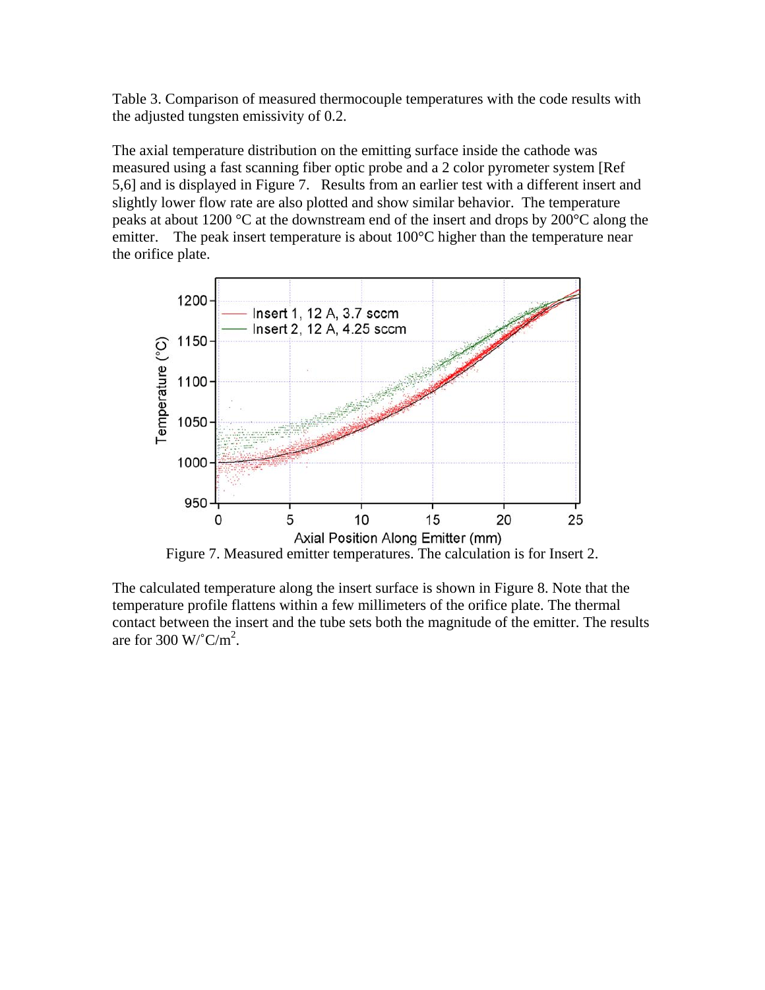Table 3. Comparison of measured thermocouple temperatures with the code results with the adjusted tungsten emissivity of 0.2.

The axial temperature distribution on the emitting surface inside the cathode was measured using a fast scanning fiber optic probe and a 2 color pyrometer system [Ref 5,6] and is displayed in Figure 7. Results from an earlier test with a different insert and slightly lower flow rate are also plotted and show similar behavior. The temperature peaks at about 1200 °C at the downstream end of the insert and drops by 200°C along the emitter. The peak insert temperature is about 100°C higher than the temperature near the orifice plate.



The calculated temperature along the insert surface is shown in Figure 8. Note that the temperature profile flattens within a few millimeters of the orifice plate. The thermal contact between the insert and the tube sets both the magnitude of the emitter. The results are for 300 W/ $^{\circ}$ C/m<sup>2</sup>.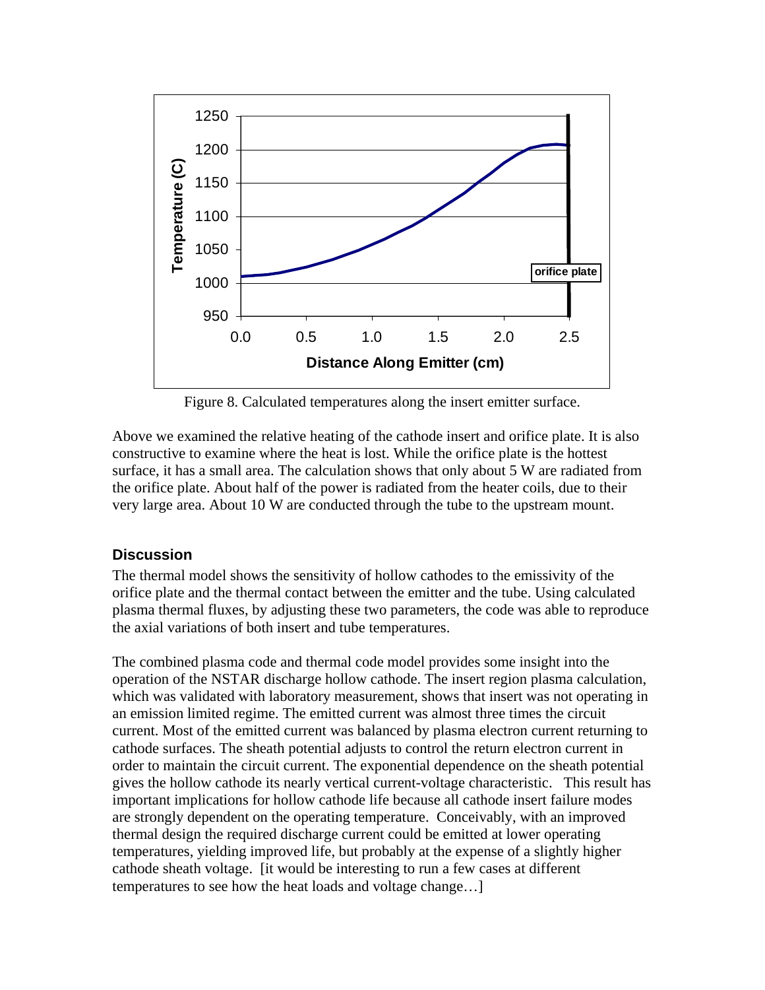

Figure 8. Calculated temperatures along the insert emitter surface.

Above we examined the relative heating of the cathode insert and orifice plate. It is also constructive to examine where the heat is lost. While the orifice plate is the hottest surface, it has a small area. The calculation shows that only about 5 W are radiated from the orifice plate. About half of the power is radiated from the heater coils, due to their very large area. About 10 W are conducted through the tube to the upstream mount.

# **Discussion**

The thermal model shows the sensitivity of hollow cathodes to the emissivity of the orifice plate and the thermal contact between the emitter and the tube. Using calculated plasma thermal fluxes, by adjusting these two parameters, the code was able to reproduce the axial variations of both insert and tube temperatures.

The combined plasma code and thermal code model provides some insight into the operation of the NSTAR discharge hollow cathode. The insert region plasma calculation, which was validated with laboratory measurement, shows that insert was not operating in an emission limited regime. The emitted current was almost three times the circuit current. Most of the emitted current was balanced by plasma electron current returning to cathode surfaces. The sheath potential adjusts to control the return electron current in order to maintain the circuit current. The exponential dependence on the sheath potential gives the hollow cathode its nearly vertical current-voltage characteristic. This result has important implications for hollow cathode life because all cathode insert failure modes are strongly dependent on the operating temperature. Conceivably, with an improved thermal design the required discharge current could be emitted at lower operating temperatures, yielding improved life, but probably at the expense of a slightly higher cathode sheath voltage. [it would be interesting to run a few cases at different temperatures to see how the heat loads and voltage change…]